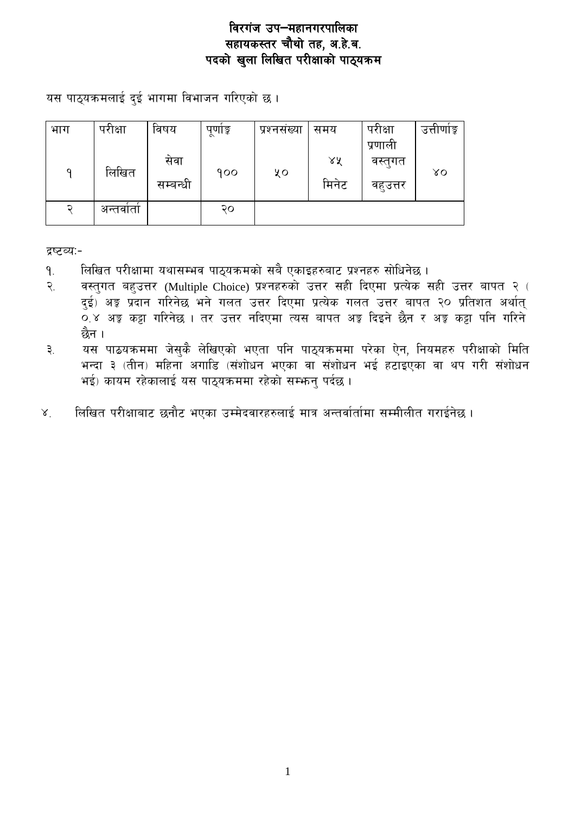यस पाठ्यक्रमलाई दुई भागमा विभाजन गरिएको छ।

| भाग | परीक्षा  | विषय     | पूर्णाङ्क | प्रश्नसख्या | समय   | परीक्षा  | उत्ताणाङ्क |
|-----|----------|----------|-----------|-------------|-------|----------|------------|
|     |          |          |           |             |       | प्रणाली  |            |
|     |          | सेवा     |           |             | ४४    | वस्तुगत  |            |
| ٩   | लिखित    | सम्बन्धी | 900       | ५०          | मिनेट |          | γO         |
|     |          |          |           |             |       | वहुउत्तर |            |
| ⊋   | अन्तवाता |          | २०        |             |       |          |            |
|     |          |          |           |             |       |          |            |

द्रष्टव्य:-

- लिखित परीक्षामा यथासम्भव पाठ्यक्रमको सबै एकाइहरुबाट प्रश्नहरु सोधिनेछ ।  $9<sub>1</sub>$
- वस्तुगत बहुउत्तर (Multiple Choice) प्रश्नहरुको उत्तर सही दिएमा प्रत्येक सही उत्तर बापत २ (  $\widetilde{\mathcal{R}}$ दुई) अङ्क प्रदान गरिनेछ भने गलत उत्तर दिएमा प्रत्येक गलत उत्तर बापत २० प्रतिशत अर्थात् 0.४ अङ्ग कट्टा गरिनेछ । तर उत्तर नदिएमा त्यस बापत अङ्ग दिइने छैन र अङ्ग कट्टा पनि गरिने छैन ।
- यस पाठयक्रममा जेसुकै लेखिएको भएता पनि पाठ्यक्रममा परेका ऐन, नियमहरु परीक्षाको मिति ३. भन्दा ३ (तीन) महिना अगाडि (संशोधन भएका वा संशोधन भई हटाइएका वा थप गरी संशोधन भई) कायम रहेकालाई यस पाठ्यक्रममा रहेको सम्भन् पर्दछ।
- लिखित परीक्षाबाट छनौट भएका उम्मेदवारहरुलाई मात्र अन्तर्वार्तामा सम्मीलीत गराईनेछ।  $X^{\cdot}$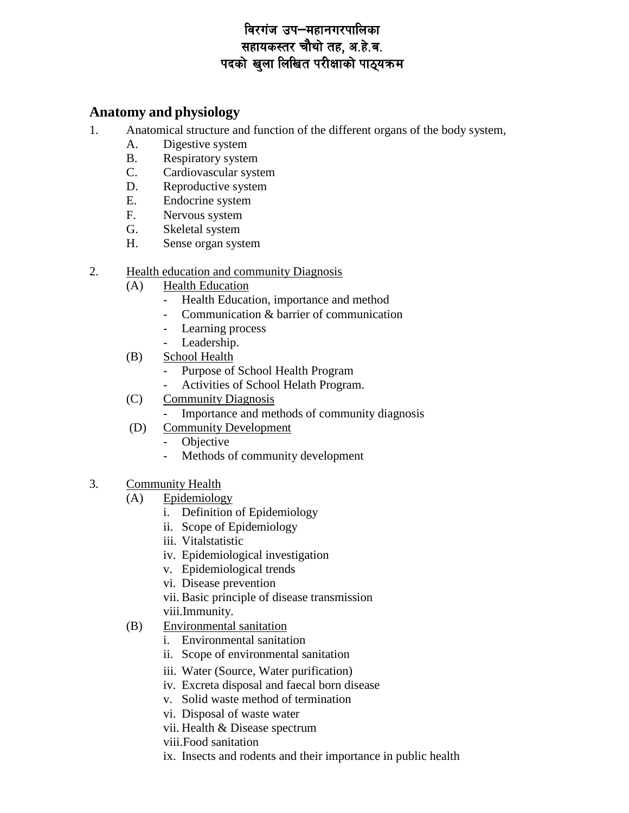### **Anatomy and physiology**

- 1. Anatomical structure and function of the different organs of the body system,
	- A. Digestive system
	- B. Respiratory system
	- C. Cardiovascular system
	- D. Reproductive system
	- E. Endocrine system
	- F. Nervous system
	- G. Skeletal system
	- H. Sense organ system

#### 2. Health education and community Diagnosis

- (A) Health Education
	- Health Education, importance and method
	- Communication & barrier of communication
	- Learning process
	- Leadership.
- (B) School Health
	- Purpose of School Health Program
		- Activities of School Helath Program.
- (C) Community Diagnosis
	- Importance and methods of community diagnosis
- (D) Community Development
	- Objective
	- Methods of community development
- 3. Community Health
	- (A) Epidemiology
		- i. Definition of Epidemiology
		- ii. Scope of Epidemiology
		- iii. Vitalstatistic
		- iv. Epidemiological investigation
		- v. Epidemiological trends
		- vi. Disease prevention
		- vii. Basic principle of disease transmission viii.Immunity.
	- (B) Environmental sanitation
		- i. Environmental sanitation
		- ii. Scope of environmental sanitation
		- iii. Water (Source, Water purification)
		- iv. Excreta disposal and faecal born disease
		- v. Solid waste method of termination
		- vi. Disposal of waste water
		- vii. Health & Disease spectrum
		- viii.Food sanitation
		- ix. Insects and rodents and their importance in public health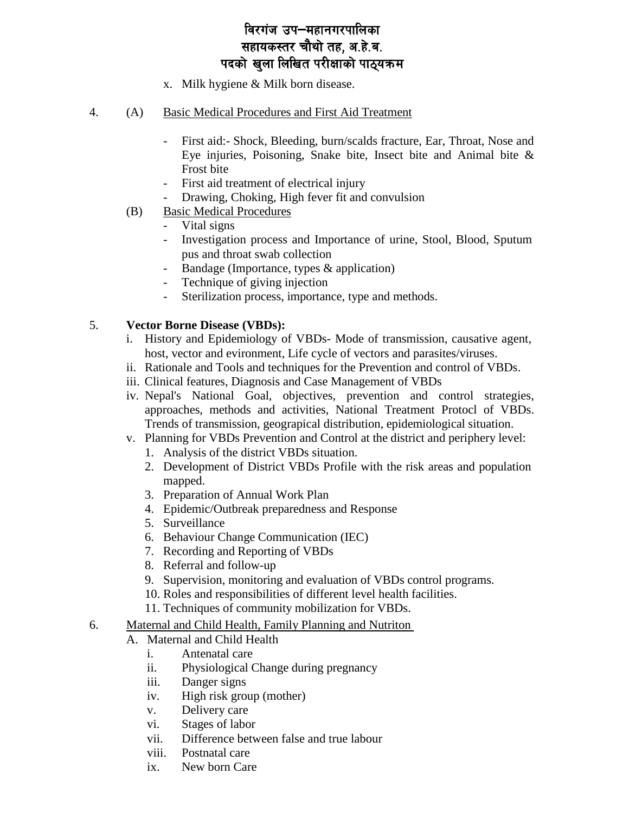- x. Milk hygiene & Milk born disease.
- 4. (A) Basic Medical Procedures and First Aid Treatment
	- First aid:- Shock, Bleeding, burn/scalds fracture, Ear, Throat, Nose and Eye injuries, Poisoning, Snake bite, Insect bite and Animal bite & Frost bite
	- First aid treatment of electrical injury
	- Drawing, Choking, High fever fit and convulsion
	- (B) Basic Medical Procedures
		- Vital signs
		- Investigation process and Importance of urine, Stool, Blood, Sputum pus and throat swab collection
		- Bandage (Importance, types & application)
		- Technique of giving injection
		- Sterilization process, importance, type and methods.

#### 5. **Vector Borne Disease (VBDs):**

- i. History and Epidemiology of VBDs- Mode of transmission, causative agent, host, vector and evironment, Life cycle of vectors and parasites/viruses.
- ii. Rationale and Tools and techniques for the Prevention and control of VBDs.
- iii. Clinical features, Diagnosis and Case Management of VBDs
- iv. Nepal's National Goal, objectives, prevention and control strategies, approaches, methods and activities, National Treatment Protocl of VBDs. Trends of transmission, geograpical distribution, epidemiological situation.
- v. Planning for VBDs Prevention and Control at the district and periphery level:
	- 1. Analysis of the district VBDs situation.
	- 2. Development of District VBDs Profile with the risk areas and population mapped.
	- 3. Preparation of Annual Work Plan
	- 4. Epidemic/Outbreak preparedness and Response
	- 5. Surveillance
	- 6. Behaviour Change Communication (IEC)
	- 7. Recording and Reporting of VBDs
	- 8. Referral and follow-up
	- 9. Supervision, monitoring and evaluation of VBDs control programs.
	- 10. Roles and responsibilities of different level health facilities.
	- 11. Techniques of community mobilization for VBDs.
- 6. Maternal and Child Health, Family Planning and Nutriton
	- A. Maternal and Child Health
		- i. Antenatal care
		- ii. Physiological Change during pregnancy
		- iii. Danger signs
		- iv. High risk group (mother)
		- v. Delivery care
		- vi. Stages of labor
		- vii. Difference between false and true labour
		- viii. Postnatal care
		- ix. New born Care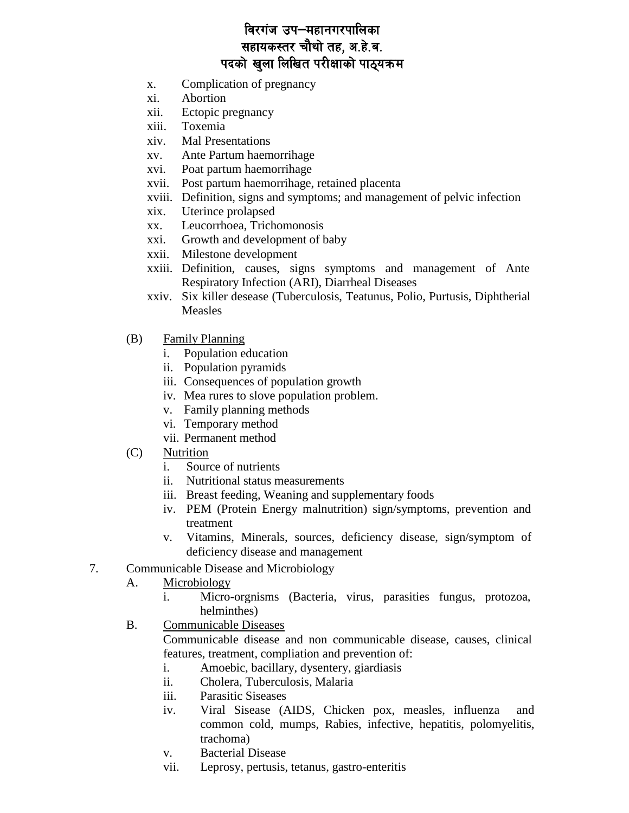- Complication of pregnancy  $\mathbf{x}$ .
- Abortion  $\overline{x}$ *i*.
- xii. Ectopic pregnancy
- Toxemia xiii.
- $\dot{x}$ iv. **Mal Presentations**
- Ante Partum haemorrihage  $XV$
- Poat partum haemorrihage xvi.
- xvii. Post partum haemorrihage, retained placenta
- xviii. Definition, signs and symptoms; and management of pelvic infection
- $\overline{x}$  ix. Uterince prolapsed
- Leucorrhoea, Trichomonosis  $\mathbf{X} \mathbf{X}$
- Growth and development of baby xxi.
- xxii. Milestone development
- xxiii. Definition, causes, signs symptoms and management of Ante Respiratory Infection (ARI), Diarrheal Diseases
- xxiv. Six killer desease (Tuberculosis, Teatunus, Polio, Purtusis, Diphtherial **Measles**
- (B) **Family Planning** 
	- i. Population education
	- ii. Population pyramids
	- iii. Consequences of population growth
	- iv. Mea rures to slove population problem.
	- v. Family planning methods
	- vi. Temporary method
	- vii. Permanent method
- Nutrition  $(C)$ 
	- Source of nutrients  $i$ .
	- $ii.$ Nutritional status measurements
	- iii. Breast feeding, Weaning and supplementary foods
	- iv. PEM (Protein Energy malnutrition) sign/symptoms, prevention and treatment
	- v. Vitamins, Minerals, sources, deficiency disease, sign/symptom of deficiency disease and management
- 7. Communicable Disease and Microbiology
	- Microbiology A.
		- $\mathbf{i}$ . Micro-orgnisms (Bacteria, virus, parasities fungus, protozoa, helminthes)
	- $B<sub>1</sub>$ **Communicable Diseases**

Communicable disease and non communicable disease, causes, clinical features, treatment, compliation and prevention of:

- Amoebic, bacillary, dysentery, giardiasis  $i$ .
- $ii.$ Cholera, Tuberculosis, Malaria
- **Parasitic Siseases** iii.
- iv. Viral Sisease (AIDS, Chicken pox, measles, influenza and common cold, mumps, Rabies, infective, hepatitis, polomyelitis, trachoma)
- **Bacterial Disease**  $V_{\bullet}$
- vii. Leprosy, pertusis, tetanus, gastro-enteritis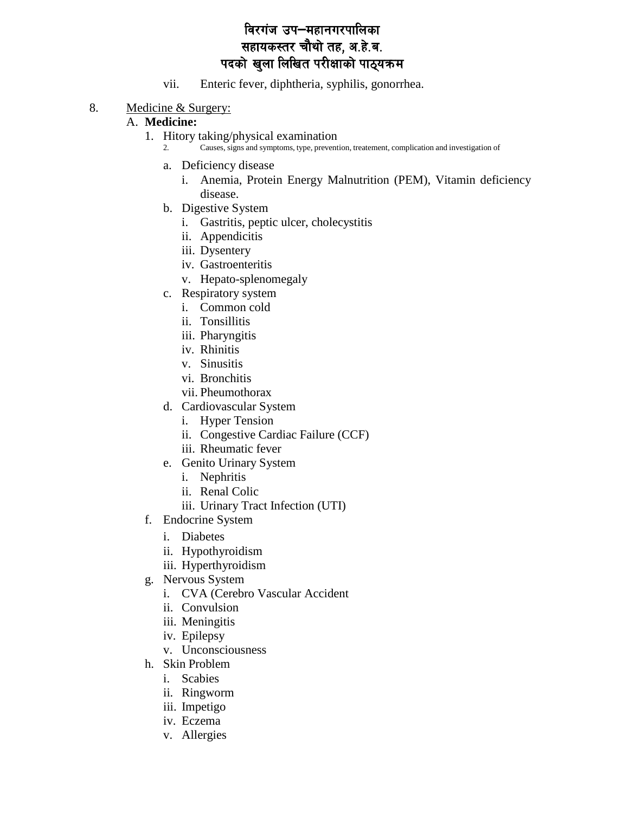- vii. Enteric fever, diphtheria, syphilis, gonorrhea.
- 8. Medicine & Surgery:

#### A. **Medicine:**

- 1. Hitory taking/physical examination
	- 2. Causes, signs and symptoms, type, prevention, treatement, complication and investigation of
		- a. Deficiency disease
			- i. Anemia, Protein Energy Malnutrition (PEM), Vitamin deficiency disease.
	- b. Digestive System
		- i. Gastritis, peptic ulcer, cholecystitis
		- ii. Appendicitis
		- iii. Dysentery
		- iv. Gastroenteritis
		- v. Hepato-splenomegaly
	- c. Respiratory system
		- i. Common cold
		- ii. Tonsillitis
		- iii. Pharyngitis
		- iv. Rhinitis
		- v. Sinusitis
		- vi. Bronchitis
		- vii. Pheumothorax
	- d. Cardiovascular System
		- i. Hyper Tension
		- ii. Congestive Cardiac Failure (CCF)
		- iii. Rheumatic fever
	- e. Genito Urinary System
		- i. Nephritis
		- ii. Renal Colic
		- iii. Urinary Tract Infection (UTI)
- f. Endocrine System
	- i. Diabetes
	- ii. Hypothyroidism
	- iii. Hyperthyroidism
- g. Nervous System
	- i. CVA (Cerebro Vascular Accident
	- ii. Convulsion
	- iii. Meningitis
	- iv. Epilepsy
	- v. Unconsciousness
- h. Skin Problem
	- i. Scabies
	- ii. Ringworm
	- iii. Impetigo
	- iv. Eczema
	- v. Allergies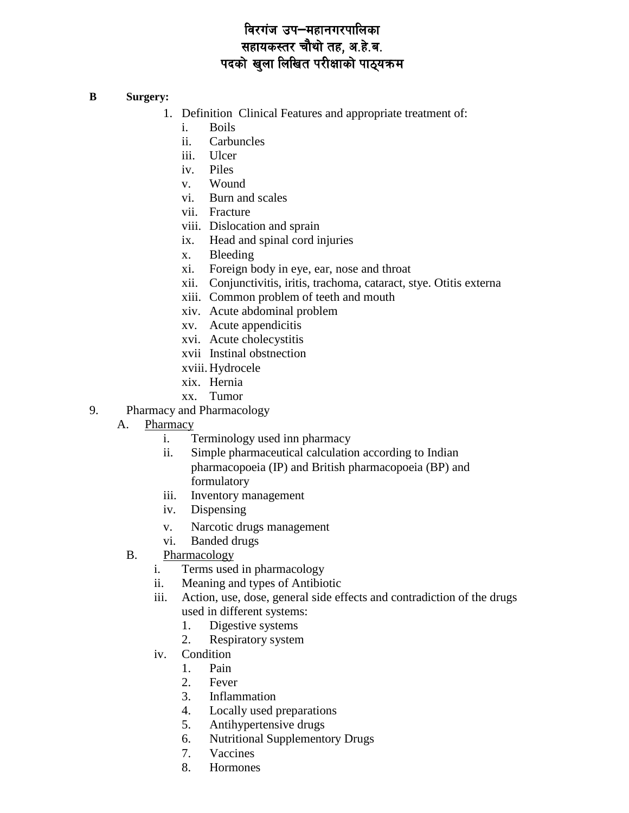#### **B Surgery:**

- 1. Definition Clinical Features and appropriate treatment of:
	- i. Boils
	- ii. Carbuncles
	- iii. Ulcer
	- iv. Piles
	- v. Wound
	- vi. Burn and scales
	- vii. Fracture
	- viii. Dislocation and sprain
	- ix. Head and spinal cord injuries
	- x. Bleeding
	- xi. Foreign body in eye, ear, nose and throat
	- xii. Conjunctivitis, iritis, trachoma, cataract, stye. Otitis externa
	- xiii. Common problem of teeth and mouth
	- xiv. Acute abdominal problem
	- xv. Acute appendicitis
	- xvi. Acute cholecystitis
	- xvii Instinal obstnection
	- xviii. Hydrocele
	- xix. Hernia
	- xx. Tumor
- 9. Pharmacy and Pharmacology
	- A. Pharmacy
		- i. Terminology used inn pharmacy
		- ii. Simple pharmaceutical calculation according to Indian pharmacopoeia (IP) and British pharmacopoeia (BP) and formulatory
		- iii. Inventory management
		- iv. Dispensing
		- v. Narcotic drugs management
		- vi. Banded drugs
		- B. Pharmacology
			- i. Terms used in pharmacology
			- ii. Meaning and types of Antibiotic
			- iii. Action, use, dose, general side effects and contradiction of the drugs used in different systems:
				- 1. Digestive systems
				- 2. Respiratory system
			- iv. Condition
				- 1. Pain
				- 2. Fever
				- 3. Inflammation
				- 4. Locally used preparations
				- 5. Antihypertensive drugs
				- 6. Nutritional Supplementory Drugs
				- 7. Vaccines
				- 8. Hormones